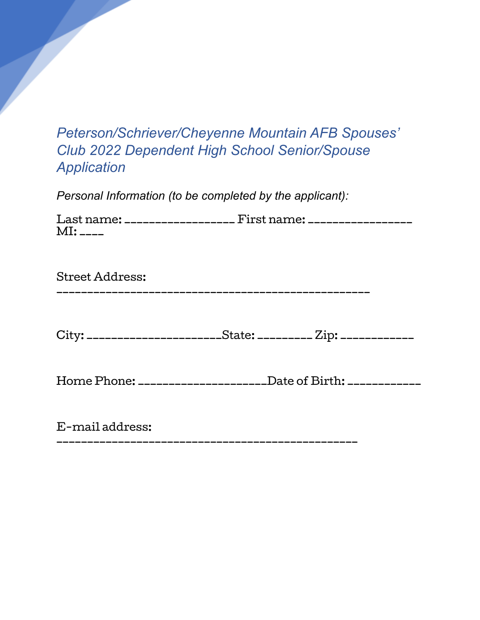## *Peterson/Schriever/Cheyenne Mountain AFB Spouses' Club 2022 Dependent High School Senior/Spouse Application*

*Personal Information (to be completed by the applicant):*

| Last name: ___________________ First name: _________________ |  |
|--------------------------------------------------------------|--|
| $MI:$ $---$                                                  |  |

Street Address: \_\_\_\_\_\_\_\_\_\_\_\_\_\_\_\_\_\_\_\_\_\_\_\_\_\_\_\_\_\_\_\_\_\_\_\_\_\_\_\_\_\_\_\_\_\_\_\_\_\_\_

City: \_\_\_\_\_\_\_\_\_\_\_\_\_\_\_\_\_\_\_\_\_\_\_State: \_\_\_\_\_\_\_\_\_\_ Zip: \_\_\_\_\_\_\_\_\_\_\_\_\_

Home Phone: \_\_\_\_\_\_\_\_\_\_\_\_\_\_\_\_\_\_\_\_\_Date of Birth: \_\_\_\_\_\_\_\_\_\_\_\_

E-mail address: \_\_\_\_\_\_\_\_\_\_\_\_\_\_\_\_\_\_\_\_\_\_\_\_\_\_\_\_\_\_\_\_\_\_\_\_\_\_\_\_\_\_\_\_\_\_\_\_\_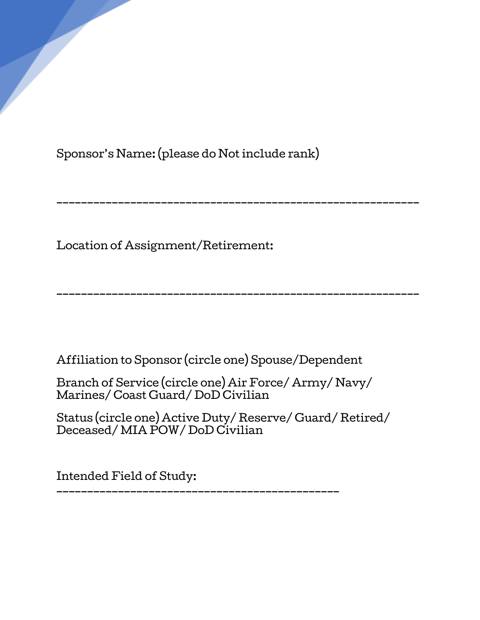Sponsor's Name: (please do Not include rank)

Location of Assignment/Retirement:

Affiliation to Sponsor (circle one) Spouse/Dependent

Branch of Service (circle one) Air Force/ Army/ Navy/ Marines/ Coast Guard/ DoD Civilian

Status (circle one) Active Duty/ Reserve/ Guard/ Retired/ Deceased/ MIA POW/ DoD Civilian

\_\_\_\_\_\_\_\_\_\_\_\_\_\_\_\_\_\_\_\_\_\_\_\_\_\_\_\_\_\_\_\_\_\_\_\_\_\_\_\_\_\_\_\_\_\_\_\_\_\_\_\_\_\_\_\_\_\_\_

\_\_\_\_\_\_\_\_\_\_\_\_\_\_\_\_\_\_\_\_\_\_\_\_\_\_\_\_\_\_\_\_\_\_\_\_\_\_\_\_\_\_\_\_\_\_\_\_\_\_\_\_\_\_\_\_\_\_\_

Intended Field of Study:

\_\_\_\_\_\_\_\_\_\_\_\_\_\_\_\_\_\_\_\_\_\_\_\_\_\_\_\_\_\_\_\_\_\_\_\_\_\_\_\_\_\_\_\_\_\_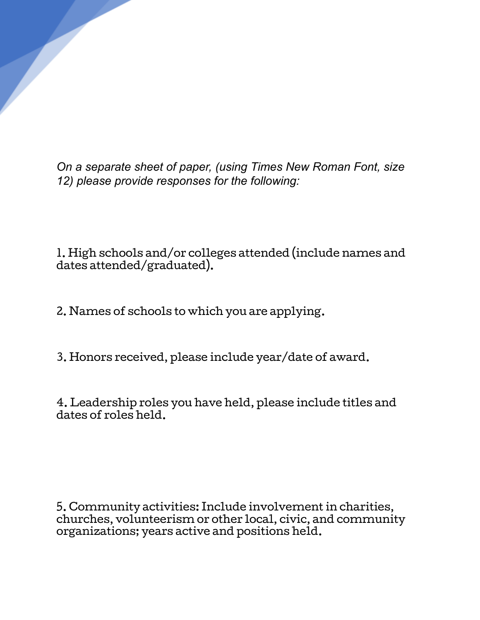*On a separate sheet of paper, (using Times New Roman Font, size 12) please provide responses for the following:*

1. High schools and/or colleges attended (include names and dates attended/graduated).

2. Names of schools to which you are applying.

3. Honors received, please include year/date of award.

4. Leadership roles you have held, please include titles and dates of roles held.

5. Community activities: Include involvement in charities, churches, volunteerism or other local, civic, and community organizations; years active and positions held.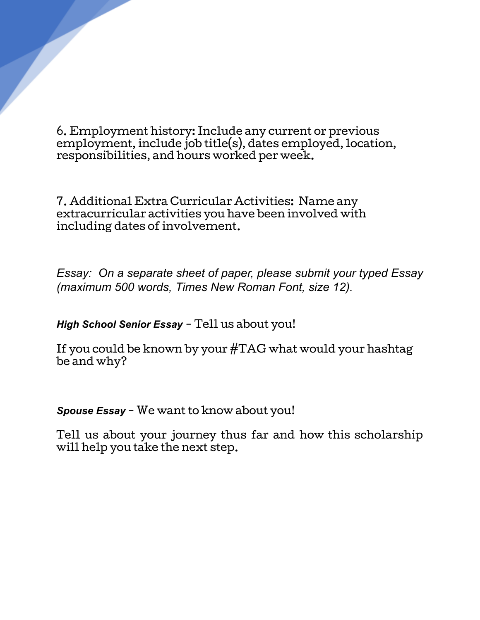6. Employment history: Include any current or previous employment, include job title(s), dates employed, location, responsibilities, and hours worked per week.

7. Additional Extra Curricular Activities: Name any extracurricular activities you have been involved with including dates of involvement.

*Essay: On a separate sheet of paper, please submit your typed Essay (maximum 500 words, Times New Roman Font, size 12).*

*High School Senior Essay* - Tell us about you!

If you could be known by your #TAG what would your hashtag be and why?

*Spouse Essay* - We want to know about you!

Tell us about your journey thus far and how this scholarship will help you take the next step.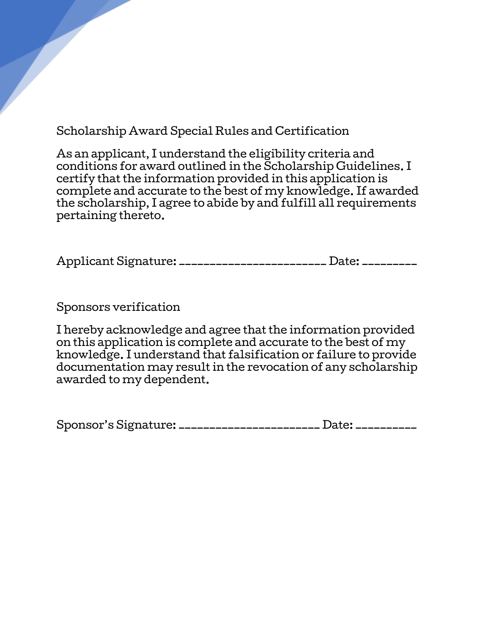Scholarship Award Special Rules and Certification

As an applicant, I understand the eligibility criteria and conditions for award outlined in the Scholarship Guidelines. I certify that the information provided in this application is complete and accurate to the best of my knowledge. If awarded the scholarship, I agree to abide by and fulfill all requirements pertaining thereto.

Applicant Signature: \_\_\_\_\_\_\_\_\_\_\_\_\_\_\_\_\_\_\_\_\_\_\_\_ Date: \_\_\_\_\_\_\_\_\_

Sponsors verification

I hereby acknowledge and agree that the information provided on this application is complete and accurate to the best of my knowledge. I understand that falsification or failure to provide documentation may result in the revocation of any scholarship awarded to my dependent.

Sponsor's Signature: \_\_\_\_\_\_\_\_\_\_\_\_\_\_\_\_\_\_\_\_\_\_\_ Date: \_\_\_\_\_\_\_\_\_\_